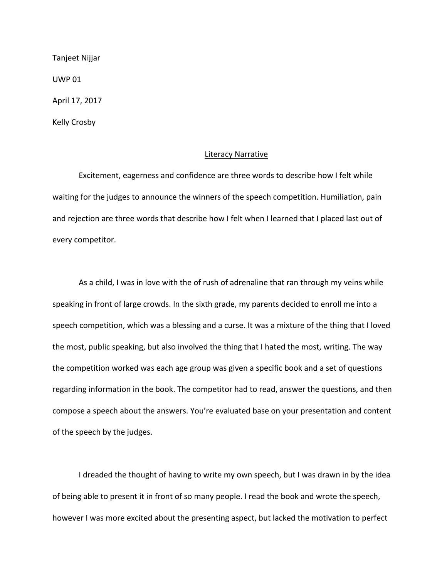Tanjeet Nijjar

**UWP 01** 

April 17, 2017

Kelly Crosby

## Literacy Narrative

Excitement, eagerness and confidence are three words to describe how I felt while waiting for the judges to announce the winners of the speech competition. Humiliation, pain and rejection are three words that describe how I felt when I learned that I placed last out of every competitor.

As a child, I was in love with the of rush of adrenaline that ran through my veins while speaking in front of large crowds. In the sixth grade, my parents decided to enroll me into a speech competition, which was a blessing and a curse. It was a mixture of the thing that I loved the most, public speaking, but also involved the thing that I hated the most, writing. The way the competition worked was each age group was given a specific book and a set of questions regarding information in the book. The competitor had to read, answer the questions, and then compose a speech about the answers. You're evaluated base on your presentation and content of the speech by the judges.

I dreaded the thought of having to write my own speech, but I was drawn in by the idea of being able to present it in front of so many people. I read the book and wrote the speech, however I was more excited about the presenting aspect, but lacked the motivation to perfect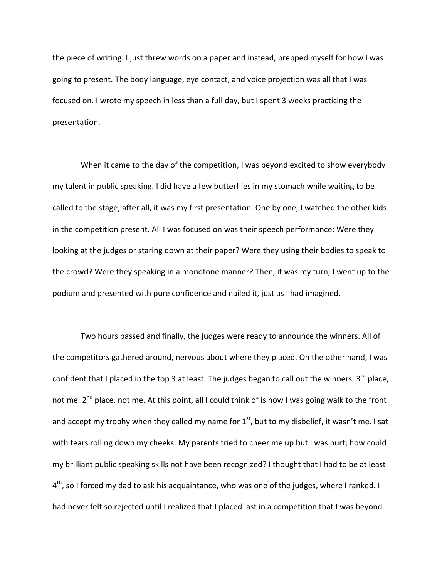the piece of writing. I just threw words on a paper and instead, prepped myself for how I was going to present. The body language, eye contact, and voice projection was all that I was focused on. I wrote my speech in less than a full day, but I spent 3 weeks practicing the presentation.

When it came to the day of the competition, I was beyond excited to show everybody my talent in public speaking. I did have a few butterflies in my stomach while waiting to be called to the stage; after all, it was my first presentation. One by one, I watched the other kids in the competition present. All I was focused on was their speech performance: Were they looking at the judges or staring down at their paper? Were they using their bodies to speak to the crowd? Were they speaking in a monotone manner? Then, it was my turn; I went up to the podium and presented with pure confidence and nailed it, just as I had imagined.

Two hours passed and finally, the judges were ready to announce the winners. All of the competitors gathered around, nervous about where they placed. On the other hand, I was confident that I placed in the top 3 at least. The judges began to call out the winners.  $3^{rd}$  place, not me. 2<sup>nd</sup> place, not me. At this point, all I could think of is how I was going walk to the front and accept my trophy when they called my name for  $1<sup>st</sup>$ , but to my disbelief, it wasn't me. I sat with tears rolling down my cheeks. My parents tried to cheer me up but I was hurt; how could my brilliant public speaking skills not have been recognized? I thought that I had to be at least  $4<sup>th</sup>$ , so I forced my dad to ask his acquaintance, who was one of the judges, where I ranked. I had never felt so rejected until I realized that I placed last in a competition that I was beyond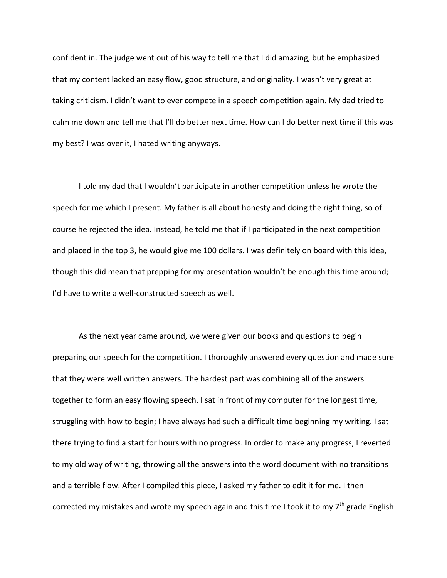confident in. The judge went out of his way to tell me that I did amazing, but he emphasized that my content lacked an easy flow, good structure, and originality. I wasn't very great at taking criticism. I didn't want to ever compete in a speech competition again. My dad tried to calm me down and tell me that I'll do better next time. How can I do better next time if this was my best? I was over it, I hated writing anyways.

I told my dad that I wouldn't participate in another competition unless he wrote the speech for me which I present. My father is all about honesty and doing the right thing, so of course he rejected the idea. Instead, he told me that if I participated in the next competition and placed in the top 3, he would give me 100 dollars. I was definitely on board with this idea, though this did mean that prepping for my presentation wouldn't be enough this time around; I'd have to write a well-constructed speech as well.

As the next year came around, we were given our books and questions to begin preparing our speech for the competition. I thoroughly answered every question and made sure that they were well written answers. The hardest part was combining all of the answers together to form an easy flowing speech. I sat in front of my computer for the longest time, struggling with how to begin; I have always had such a difficult time beginning my writing. I sat there trying to find a start for hours with no progress. In order to make any progress, I reverted to my old way of writing, throwing all the answers into the word document with no transitions and a terrible flow. After I compiled this piece, I asked my father to edit it for me. I then corrected my mistakes and wrote my speech again and this time I took it to my  $7<sup>th</sup>$  grade English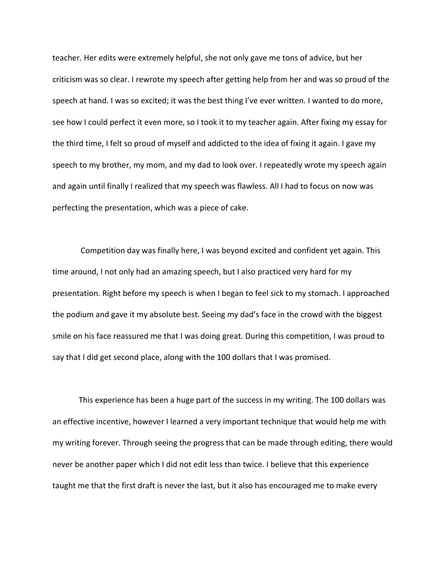teacher. Her edits were extremely helpful, she not only gave me tons of advice, but her criticism was so clear. I rewrote my speech after getting help from her and was so proud of the speech at hand. I was so excited; it was the best thing I've ever written. I wanted to do more, see how I could perfect it even more, so I took it to my teacher again. After fixing my essay for the third time, I felt so proud of myself and addicted to the idea of fixing it again. I gave my speech to my brother, my mom, and my dad to look over. I repeatedly wrote my speech again and again until finally I realized that my speech was flawless. All I had to focus on now was perfecting the presentation, which was a piece of cake.

Competition day was finally here, I was beyond excited and confident yet again. This time around, I not only had an amazing speech, but I also practiced very hard for my presentation. Right before my speech is when I began to feel sick to my stomach. I approached the podium and gave it my absolute best. Seeing my dad's face in the crowd with the biggest smile on his face reassured me that I was doing great. During this competition, I was proud to say that I did get second place, along with the 100 dollars that I was promised.

This experience has been a huge part of the success in my writing. The 100 dollars was an effective incentive, however I learned a very important technique that would help me with my writing forever. Through seeing the progress that can be made through editing, there would never be another paper which I did not edit less than twice. I believe that this experience taught me that the first draft is never the last, but it also has encouraged me to make every